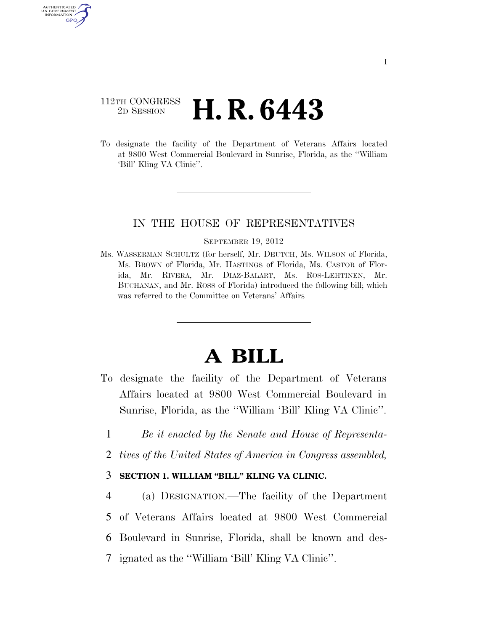# 112TH CONGRESS <sup>2D SESSION</sup> **H. R. 6443**

AUTHENTICATED U.S. GOVERNMENT GPO

> To designate the facility of the Department of Veterans Affairs located at 9800 West Commercial Boulevard in Sunrise, Florida, as the ''William 'Bill' Kling VA Clinic''.

## IN THE HOUSE OF REPRESENTATIVES

#### SEPTEMBER 19, 2012

Ms. WASSERMAN SCHULTZ (for herself, Mr. DEUTCH, Ms. WILSON of Florida, Ms. BROWN of Florida, Mr. HASTINGS of Florida, Ms. CASTOR of Florida, Mr. RIVERA, Mr. DIAZ-BALART, Ms. ROS-LEHTINEN, Mr. BUCHANAN, and Mr. ROSS of Florida) introduced the following bill; which was referred to the Committee on Veterans' Affairs

# **A BILL**

- To designate the facility of the Department of Veterans Affairs located at 9800 West Commercial Boulevard in Sunrise, Florida, as the ''William 'Bill' Kling VA Clinic''.
	- 1 *Be it enacted by the Senate and House of Representa-*
	- 2 *tives of the United States of America in Congress assembled,*

### 3 **SECTION 1. WILLIAM ''BILL'' KLING VA CLINIC.**

 (a) DESIGNATION.—The facility of the Department of Veterans Affairs located at 9800 West Commercial Boulevard in Sunrise, Florida, shall be known and des-ignated as the ''William 'Bill' Kling VA Clinic''.